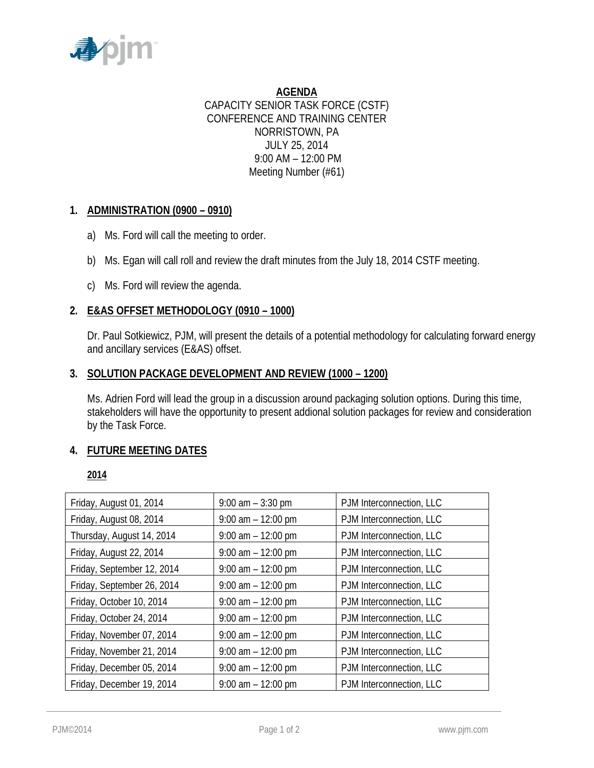

**AGENDA** CAPACITY SENIOR TASK FORCE (CSTF) CONFERENCE AND TRAINING CENTER NORRISTOWN, PA JULY 25, 2014 9:00 AM – 12:00 PM Meeting Number (#61)

# **1. ADMINISTRATION (0900 – 0910)**

- a) Ms. Ford will call the meeting to order.
- b) Ms. Egan will call roll and review the draft minutes from the July 18, 2014 CSTF meeting.
- c) Ms. Ford will review the agenda.

# **2. E&AS OFFSET METHODOLOGY (0910 – 1000)**

Dr. Paul Sotkiewicz, PJM, will present the details of a potential methodology for calculating forward energy and ancillary services (E&AS) offset.

# **3. SOLUTION PACKAGE DEVELOPMENT AND REVIEW (1000 – 1200)**

Ms. Adrien Ford will lead the group in a discussion around packaging solution options. During this time, stakeholders will have the opportunity to present addional solution packages for review and consideration by the Task Force.

# **4. FUTURE MEETING DATES**

# **2014**

| Friday, August 01, 2014    | $9:00$ am $-3:30$ pm  | PJM Interconnection, LLC |
|----------------------------|-----------------------|--------------------------|
| Friday, August 08, 2014    | $9:00$ am $-12:00$ pm | PJM Interconnection, LLC |
| Thursday, August 14, 2014  | $9:00$ am $-12:00$ pm | PJM Interconnection, LLC |
| Friday, August 22, 2014    | $9:00$ am $-12:00$ pm | PJM Interconnection, LLC |
| Friday, September 12, 2014 | $9:00$ am $-12:00$ pm | PJM Interconnection, LLC |
| Friday, September 26, 2014 | $9:00$ am $-12:00$ pm | PJM Interconnection, LLC |
| Friday, October 10, 2014   | $9:00$ am $-12:00$ pm | PJM Interconnection, LLC |
| Friday, October 24, 2014   | $9:00$ am $-12:00$ pm | PJM Interconnection, LLC |
| Friday, November 07, 2014  | $9:00$ am $-12:00$ pm | PJM Interconnection, LLC |
| Friday, November 21, 2014  | $9:00$ am $-12:00$ pm | PJM Interconnection, LLC |
| Friday, December 05, 2014  | $9:00$ am $-12:00$ pm | PJM Interconnection, LLC |
| Friday, December 19, 2014  | $9:00$ am $-12:00$ pm | PJM Interconnection, LLC |